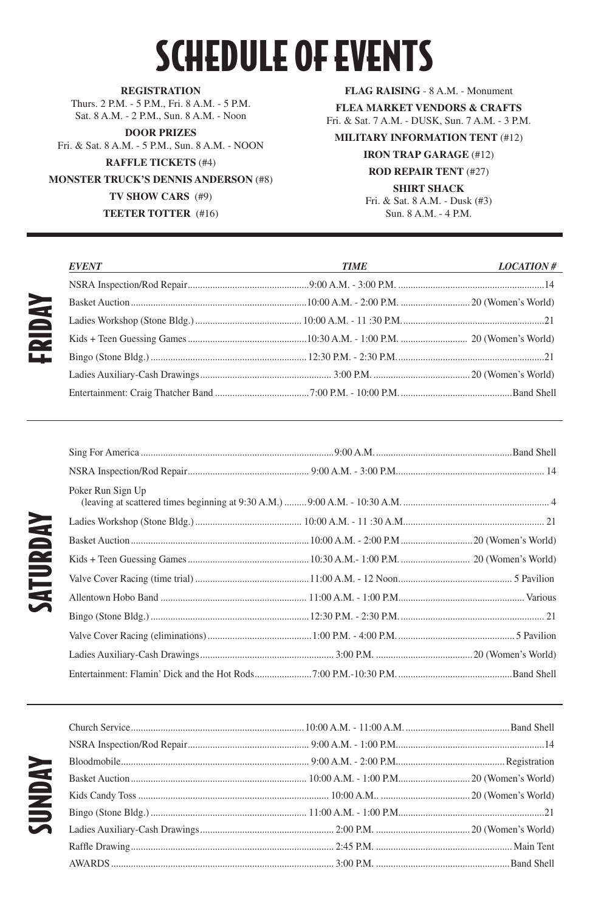## SCHEDULE OF EVENTS

FRIDAY

SATURDAY

**REGISTRATION** Thurs. 2 P.M. - 5 P.M., Fri. 8 A.M. - 5 P.M. Sat. 8 A.M. - 2 P.M., Sun. 8 A.M. - Noon

**DOOR PRIZES** Fri. & Sat. 8 A.M. - 5 P.M., Sun. 8 A.M. - NOON **RAFFLE TICKETS** (#4) **MONSTER TRUCK'S DENNIS ANDERSON** (#8) **TV SHOW CARS** (#9) **TEETER TOTTER** (#16)

#### **FLAG RAISING** - 8 A.M. - Monument

**FLEA MARKET VENDORS & CRAFTS** Fri. & Sat. 7 A.M. - DUSK, Sun. 7 A.M. - 3 P.M.

### **MILITARY INFORMATION TENT** (#12)

#### **IRON TRAP GARAGE** (#12)

#### **ROD REPAIR TENT** (#27)

#### **SHIRT SHACK**

Fri. & Sat. 8 A.M. - Dusk (#3) Sun. 8 A.M. - 4 P.M.

| <i><b>EVENT</b></i><br><u> 1989 - Johann Barn, fransk politik (f. 1989)</u> | <u> 1989 - Johann Stoff, fransk politik (d. 1989)</u><br><b>TIME</b> | <i>LOCATION</i> # |
|-----------------------------------------------------------------------------|----------------------------------------------------------------------|-------------------|
|                                                                             |                                                                      |                   |
|                                                                             |                                                                      |                   |
|                                                                             |                                                                      |                   |
|                                                                             |                                                                      |                   |
|                                                                             |                                                                      |                   |
|                                                                             |                                                                      |                   |
|                                                                             |                                                                      |                   |

| Poker Run Sign Up |  |
|-------------------|--|
|                   |  |
|                   |  |
|                   |  |
|                   |  |
|                   |  |
|                   |  |
|                   |  |
|                   |  |